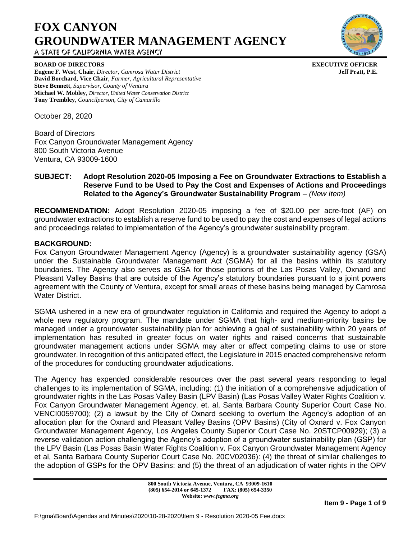# **FOX CANYON GROUNDWATER MANAGEMENT AGENCY** A STATE OF CALIFORNIA WATER AGENCY



**BOARD OF DIRECTORS EXECUTIVE OFFICER**

**Eugene F. West**, **Chair**, *Director, Camrosa Water District* **Jeff Pratt, P.E.**

**Tony Trembley**, *Councilperson, City of Camarillo*

**Steve Bennett**, *Supervisor, County of Ventura*

October 28, 2020

Board of Directors Fox Canyon Groundwater Management Agency 800 South Victoria Avenue Ventura, CA 93009-1600

**David Borchard**, **Vice Chair**, *Farmer, Agricultural Representative*

**Michael W. Mobley**, *Director, United Water Conservation District*

# **SUBJECT: Adopt Resolution 2020-05 Imposing a Fee on Groundwater Extractions to Establish a Reserve Fund to be Used to Pay the Cost and Expenses of Actions and Proceedings Related to the Agency's Groundwater Sustainability Program** – *(New Item)*

**RECOMMENDATION:** Adopt Resolution 2020-05 imposing a fee of \$20.00 per acre-foot (AF) on groundwater extractions to establish a reserve fund to be used to pay the cost and expenses of legal actions and proceedings related to implementation of the Agency's groundwater sustainability program.

# **BACKGROUND:**

Fox Canyon Groundwater Management Agency (Agency) is a groundwater sustainability agency (GSA) under the Sustainable Groundwater Management Act (SGMA) for all the basins within its statutory boundaries. The Agency also serves as GSA for those portions of the Las Posas Valley, Oxnard and Pleasant Valley Basins that are outside of the Agency's statutory boundaries pursuant to a joint powers agreement with the County of Ventura, except for small areas of these basins being managed by Camrosa Water District.

SGMA ushered in a new era of groundwater regulation in California and required the Agency to adopt a whole new regulatory program. The mandate under SGMA that high- and medium-priority basins be managed under a groundwater sustainability plan for achieving a goal of sustainability within 20 years of implementation has resulted in greater focus on water rights and raised concerns that sustainable groundwater management actions under SGMA may alter or affect competing claims to use or store groundwater. In recognition of this anticipated effect, the Legislature in 2015 enacted comprehensive reform of the procedures for conducting groundwater adjudications.

The Agency has expended considerable resources over the past several years responding to legal challenges to its implementation of SGMA, including: (1) the initiation of a comprehensive adjudication of groundwater rights in the Las Posas Valley Basin (LPV Basin) (Las Posas Valley Water Rights Coalition v. Fox Canyon Groundwater Management Agency, et. al, Santa Barbara County Superior Court Case No. VENCI0059700); (2) a lawsuit by the City of Oxnard seeking to overturn the Agency's adoption of an allocation plan for the Oxnard and Pleasant Valley Basins (OPV Basins) (City of Oxnard v. Fox Canyon Groundwater Management Agency, Los Angeles County Superior Court Case No. 20STCP00929); (3) a reverse validation action challenging the Agency's adoption of a groundwater sustainability plan (GSP) for the LPV Basin (Las Posas Basin Water Rights Coalition v. Fox Canyon Groundwater Management Agency et al, Santa Barbara County Superior Court Case No. 20CV02036): (4) the threat of similar challenges to the adoption of GSPs for the OPV Basins: and (5) the threat of an adjudication of water rights in the OPV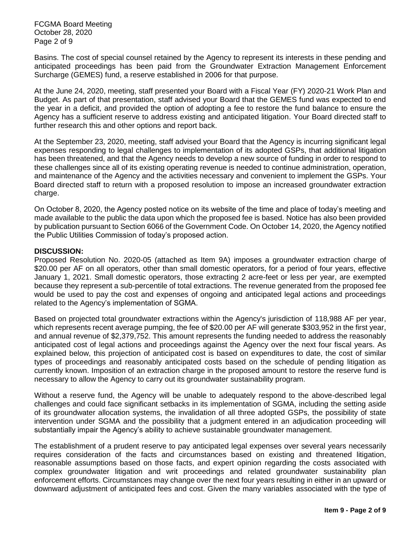FCGMA Board Meeting October 28, 2020 Page 2 of 9

Basins. The cost of special counsel retained by the Agency to represent its interests in these pending and anticipated proceedings has been paid from the Groundwater Extraction Management Enforcement Surcharge (GEMES) fund, a reserve established in 2006 for that purpose.

At the June 24, 2020, meeting, staff presented your Board with a Fiscal Year (FY) 2020-21 Work Plan and Budget. As part of that presentation, staff advised your Board that the GEMES fund was expected to end the year in a deficit, and provided the option of adopting a fee to restore the fund balance to ensure the Agency has a sufficient reserve to address existing and anticipated litigation. Your Board directed staff to further research this and other options and report back.

At the September 23, 2020, meeting, staff advised your Board that the Agency is incurring significant legal expenses responding to legal challenges to implementation of its adopted GSPs, that additional litigation has been threatened, and that the Agency needs to develop a new source of funding in order to respond to these challenges since all of its existing operating revenue is needed to continue administration, operation, and maintenance of the Agency and the activities necessary and convenient to implement the GSPs. Your Board directed staff to return with a proposed resolution to impose an increased groundwater extraction charge.

On October 8, 2020, the Agency posted notice on its website of the time and place of today's meeting and made available to the public the data upon which the proposed fee is based. Notice has also been provided by publication pursuant to Section 6066 of the Government Code. On October 14, 2020, the Agency notified the Public Utilities Commission of today's proposed action.

# **DISCUSSION:**

Proposed Resolution No. 2020-05 (attached as Item 9A) imposes a groundwater extraction charge of \$20.00 per AF on all operators, other than small domestic operators, for a period of four years, effective January 1, 2021. Small domestic operators, those extracting 2 acre-feet or less per year, are exempted because they represent a sub-percentile of total extractions. The revenue generated from the proposed fee would be used to pay the cost and expenses of ongoing and anticipated legal actions and proceedings related to the Agency's implementation of SGMA.

Based on projected total groundwater extractions within the Agency's jurisdiction of 118,988 AF per year, which represents recent average pumping, the fee of \$20.00 per AF will generate \$303,952 in the first year, and annual revenue of \$2,379,752. This amount represents the funding needed to address the reasonably anticipated cost of legal actions and proceedings against the Agency over the next four fiscal years. As explained below, this projection of anticipated cost is based on expenditures to date, the cost of similar types of proceedings and reasonably anticipated costs based on the schedule of pending litigation as currently known. Imposition of an extraction charge in the proposed amount to restore the reserve fund is necessary to allow the Agency to carry out its groundwater sustainability program.

Without a reserve fund, the Agency will be unable to adequately respond to the above-described legal challenges and could face significant setbacks in its implementation of SGMA, including the setting aside of its groundwater allocation systems, the invalidation of all three adopted GSPs, the possibility of state intervention under SGMA and the possibility that a judgment entered in an adjudication proceeding will substantially impair the Agency's ability to achieve sustainable groundwater management.

The establishment of a prudent reserve to pay anticipated legal expenses over several years necessarily requires consideration of the facts and circumstances based on existing and threatened litigation, reasonable assumptions based on those facts, and expert opinion regarding the costs associated with complex groundwater litigation and writ proceedings and related groundwater sustainability plan enforcement efforts. Circumstances may change over the next four years resulting in either in an upward or downward adjustment of anticipated fees and cost. Given the many variables associated with the type of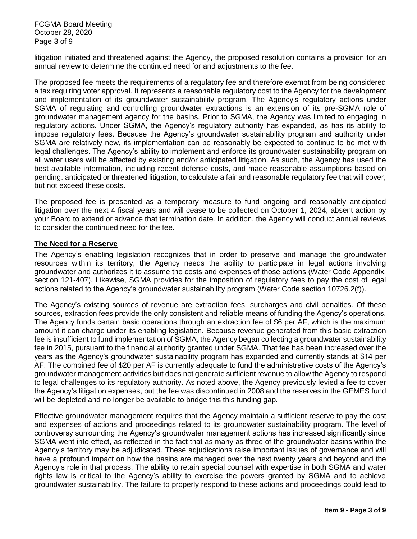FCGMA Board Meeting October 28, 2020 Page 3 of 9

litigation initiated and threatened against the Agency, the proposed resolution contains a provision for an annual review to determine the continued need for and adjustments to the fee.

The proposed fee meets the requirements of a regulatory fee and therefore exempt from being considered a tax requiring voter approval. It represents a reasonable regulatory cost to the Agency for the development and implementation of its groundwater sustainability program. The Agency's regulatory actions under SGMA of regulating and controlling groundwater extractions is an extension of its pre-SGMA role of groundwater management agency for the basins. Prior to SGMA, the Agency was limited to engaging in regulatory actions. Under SGMA, the Agency's regulatory authority has expanded, as has its ability to impose regulatory fees. Because the Agency's groundwater sustainability program and authority under SGMA are relatively new, its implementation can be reasonably be expected to continue to be met with legal challenges. The Agency's ability to implement and enforce its groundwater sustainability program on all water users will be affected by existing and/or anticipated litigation. As such, the Agency has used the best available information, including recent defense costs, and made reasonable assumptions based on pending. anticipated or threatened litigation, to calculate a fair and reasonable regulatory fee that will cover, but not exceed these costs.

The proposed fee is presented as a temporary measure to fund ongoing and reasonably anticipated litigation over the next 4 fiscal years and will cease to be collected on October 1, 2024, absent action by your Board to extend or advance that termination date. In addition, the Agency will conduct annual reviews to consider the continued need for the fee.

#### **The Need for a Reserve**

The Agency's enabling legislation recognizes that in order to preserve and manage the groundwater resources within its territory, the Agency needs the ability to participate in legal actions involving groundwater and authorizes it to assume the costs and expenses of those actions (Water Code Appendix, section 121-407). Likewise, SGMA provides for the imposition of regulatory fees to pay the cost of legal actions related to the Agency's groundwater sustainability program (Water Code section 10726.2(f)).

The Agency's existing sources of revenue are extraction fees, surcharges and civil penalties. Of these sources, extraction fees provide the only consistent and reliable means of funding the Agency's operations. The Agency funds certain basic operations through an extraction fee of \$6 per AF, which is the maximum amount it can charge under its enabling legislation. Because revenue generated from this basic extraction fee is insufficient to fund implementation of SGMA, the Agency began collecting a groundwater sustainability fee in 2015, pursuant to the financial authority granted under SGMA. That fee has been increased over the years as the Agency's groundwater sustainability program has expanded and currently stands at \$14 per AF. The combined fee of \$20 per AF is currently adequate to fund the administrative costs of the Agency's groundwater management activities but does not generate sufficient revenue to allow the Agency to respond to legal challenges to its regulatory authority. As noted above, the Agency previously levied a fee to cover the Agency's litigation expenses, but the fee was discontinued in 2008 and the reserves in the GEMES fund will be depleted and no longer be available to bridge this this funding gap.

Effective groundwater management requires that the Agency maintain a sufficient reserve to pay the cost and expenses of actions and proceedings related to its groundwater sustainability program. The level of controversy surrounding the Agency's groundwater management actions has increased significantly since SGMA went into effect, as reflected in the fact that as many as three of the groundwater basins within the Agency's territory may be adjudicated. These adjudications raise important issues of governance and will have a profound impact on how the basins are managed over the next twenty years and beyond and the Agency's role in that process. The ability to retain special counsel with expertise in both SGMA and water rights law is critical to the Agency's ability to exercise the powers granted by SGMA and to achieve groundwater sustainability. The failure to properly respond to these actions and proceedings could lead to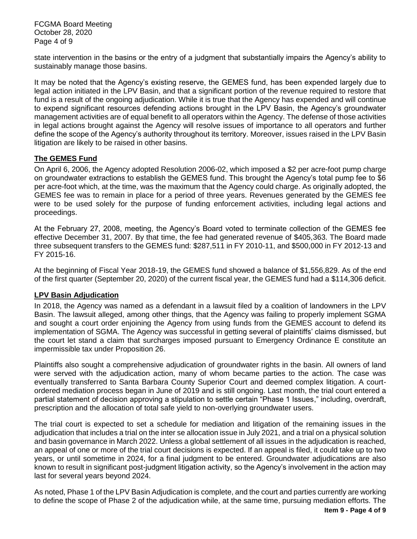FCGMA Board Meeting October 28, 2020 Page 4 of 9

state intervention in the basins or the entry of a judgment that substantially impairs the Agency's ability to sustainably manage those basins.

It may be noted that the Agency's existing reserve, the GEMES fund, has been expended largely due to legal action initiated in the LPV Basin, and that a significant portion of the revenue required to restore that fund is a result of the ongoing adjudication. While it is true that the Agency has expended and will continue to expend significant resources defending actions brought in the LPV Basin, the Agency's groundwater management activities are of equal benefit to all operators within the Agency. The defense of those activities in legal actions brought against the Agency will resolve issues of importance to all operators and further define the scope of the Agency's authority throughout its territory. Moreover, issues raised in the LPV Basin litigation are likely to be raised in other basins.

# **The GEMES Fund**

On April 6, 2006, the Agency adopted Resolution 2006-02, which imposed a \$2 per acre-foot pump charge on groundwater extractions to establish the GEMES fund. This brought the Agency's total pump fee to \$6 per acre-foot which, at the time, was the maximum that the Agency could charge. As originally adopted, the GEMES fee was to remain in place for a period of three years. Revenues generated by the GEMES fee were to be used solely for the purpose of funding enforcement activities, including legal actions and proceedings.

At the February 27, 2008, meeting, the Agency's Board voted to terminate collection of the GEMES fee effective December 31, 2007. By that time, the fee had generated revenue of \$405,363. The Board made three subsequent transfers to the GEMES fund: \$287,511 in FY 2010-11, and \$500,000 in FY 2012-13 and FY 2015-16.

At the beginning of Fiscal Year 2018-19, the GEMES fund showed a balance of \$1,556,829. As of the end of the first quarter (September 20, 2020) of the current fiscal year, the GEMES fund had a \$114,306 deficit.

# **LPV Basin Adjudication**

In 2018, the Agency was named as a defendant in a lawsuit filed by a coalition of landowners in the LPV Basin. The lawsuit alleged, among other things, that the Agency was failing to properly implement SGMA and sought a court order enjoining the Agency from using funds from the GEMES account to defend its implementation of SGMA. The Agency was successful in getting several of plaintiffs' claims dismissed, but the court let stand a claim that surcharges imposed pursuant to Emergency Ordinance E constitute an impermissible tax under Proposition 26.

Plaintiffs also sought a comprehensive adjudication of groundwater rights in the basin. All owners of land were served with the adjudication action, many of whom became parties to the action. The case was eventually transferred to Santa Barbara County Superior Court and deemed complex litigation. A courtordered mediation process began in June of 2019 and is still ongoing. Last month, the trial court entered a partial statement of decision approving a stipulation to settle certain "Phase 1 Issues," including, overdraft, prescription and the allocation of total safe yield to non-overlying groundwater users.

The trial court is expected to set a schedule for mediation and litigation of the remaining issues in the adjudication that includes a trial on the inter se allocation issue in July 2021, and a trial on a physical solution and basin governance in March 2022. Unless a global settlement of all issues in the adjudication is reached, an appeal of one or more of the trial court decisions is expected. If an appeal is filed, it could take up to two years, or until sometime in 2024, for a final judgment to be entered. Groundwater adjudications are also known to result in significant post-judgment litigation activity, so the Agency's involvement in the action may last for several years beyond 2024.

As noted, Phase 1 of the LPV Basin Adjudication is complete, and the court and parties currently are working to define the scope of Phase 2 of the adjudication while, at the same time, pursuing mediation efforts. The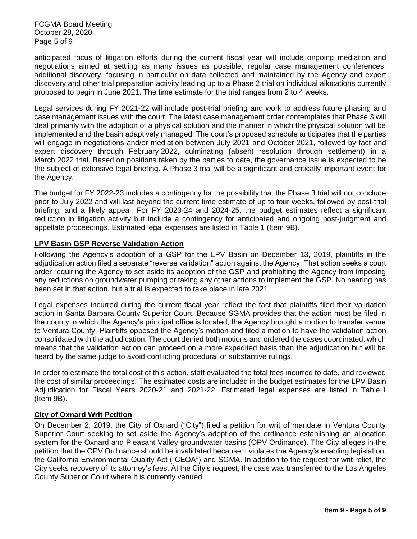FCGMA Board Meeting October 28, 2020 Page 5 of 9

anticipated focus of litigation efforts during the current fiscal year will include ongoing mediation and negotiations aimed at settling as many issues as possible, regular case management conferences, additional discovery, focusing in particular on data collected and maintained by the Agency and expert discovery and other trial preparation activity leading up to a Phase 2 trial on individual allocations currently proposed to begin in June 2021. The time estimate for the trial ranges from 2 to 4 weeks.

Legal services during FY 2021-22 will include post-trial briefing and work to address future phasing and case management issues with the court. The latest case management order contemplates that Phase 3 will deal primarily with the adoption of a physical solution and the manner in which the physical solution will be implemented and the basin adaptively managed. The court's proposed schedule anticipates that the parties will engage in negotiations and/or mediation between July 2021 and October 2021, followed by fact and expert discovery through February 2022, culminating (absent resolution through settlement) in a March 2022 trial. Based on positions taken by the parties to date, the governance issue is expected to be the subject of extensive legal briefing. A Phase 3 trial will be a significant and critically important event for the Agency.

The budget for FY 2022-23 includes a contingency for the possibility that the Phase 3 trial will not conclude prior to July 2022 and will last beyond the current time estimate of up to four weeks, followed by post-trial briefing, and a likely appeal. For FY 2023-24 and 2024-25, the budget estimates reflect a significant reduction in litigation activity but include a contingency for anticipated and ongoing post-judgment and appellate proceedings. Estimated legal expenses are listed in Table 1 (Item 9B).

# **LPV Basin GSP Reverse Validation Action**

Following the Agency's adoption of a GSP for the LPV Basin on December 13, 2019, plaintiffs in the adjudication action filed a separate "reverse validation" action against the Agency. That action seeks a court order requiring the Agency to set aside its adoption of the GSP and prohibiting the Agency from imposing any reductions on groundwater pumping or taking any other actions to implement the GSP. No hearing has been set in that action, but a trial is expected to take place in late 2021.

Legal expenses incurred during the current fiscal year reflect the fact that plaintiffs filed their validation action in Santa Barbara County Superior Court. Because SGMA provides that the action must be filed in the county in which the Agency's principal office is located, the Agency brought a motion to transfer venue to Ventura County. Plaintiffs opposed the Agency's motion and filed a motion to have the validation action consolidated with the adjudication. The court denied both motions and ordered the cases coordinated, which means that the validation action can proceed on a more expedited basis than the adjudication but will be heard by the same judge to avoid conflicting procedural or substantive rulings.

In order to estimate the total cost of this action, staff evaluated the total fees incurred to date, and reviewed the cost of similar proceedings. The estimated costs are included in the budget estimates for the LPV Basin Adjudication for Fiscal Years 2020-21 and 2021-22. Estimated legal expenses are listed in Table 1 (Item 9B).

#### **City of Oxnard Writ Petition**

On December 2, 2019, the City of Oxnard ("City") filed a petition for writ of mandate in Ventura County Superior Court seeking to set aside the Agency's adoption of the ordinance establishing an allocation system for the Oxnard and Pleasant Valley groundwater basins (OPV Ordinance). The City alleges in the petition that the OPV Ordinance should be invalidated because it violates the Agency's enabling legislation, the California Environmental Quality Act ("CEQA") and SGMA. In addition to the request for writ relief, the City seeks recovery of its attorney's fees. At the City's request, the case was transferred to the Los Angeles County Superior Court where it is currently venued.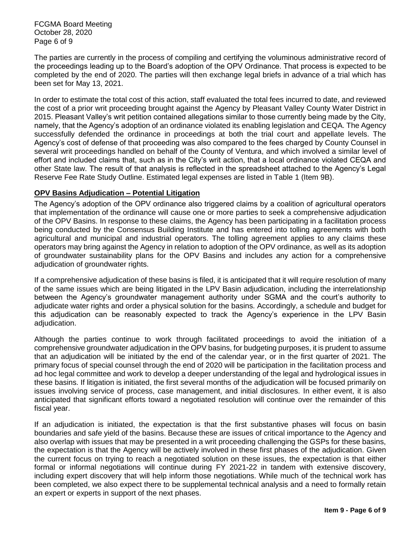FCGMA Board Meeting October 28, 2020 Page 6 of 9

The parties are currently in the process of compiling and certifying the voluminous administrative record of the proceedings leading up to the Board's adoption of the OPV Ordinance. That process is expected to be completed by the end of 2020. The parties will then exchange legal briefs in advance of a trial which has been set for May 13, 2021.

In order to estimate the total cost of this action, staff evaluated the total fees incurred to date, and reviewed the cost of a prior writ proceeding brought against the Agency by Pleasant Valley County Water District in 2015. Pleasant Valley's writ petition contained allegations similar to those currently being made by the City, namely, that the Agency's adoption of an ordinance violated its enabling legislation and CEQA. The Agency successfully defended the ordinance in proceedings at both the trial court and appellate levels. The Agency's cost of defense of that proceeding was also compared to the fees charged by County Counsel in several writ proceedings handled on behalf of the County of Ventura, and which involved a similar level of effort and included claims that, such as in the City's writ action, that a local ordinance violated CEQA and other State law. The result of that analysis is reflected in the spreadsheet attached to the Agency's Legal Reserve Fee Rate Study Outline. Estimated legal expenses are listed in Table 1 (Item 9B).

# **OPV Basins Adjudication – Potential Litigation**

The Agency's adoption of the OPV ordinance also triggered claims by a coalition of agricultural operators that implementation of the ordinance will cause one or more parties to seek a comprehensive adjudication of the OPV Basins. In response to these claims, the Agency has been participating in a facilitation process being conducted by the Consensus Building Institute and has entered into tolling agreements with both agricultural and municipal and industrial operators. The tolling agreement applies to any claims these operators may bring against the Agency in relation to adoption of the OPV ordinance, as well as its adoption of groundwater sustainability plans for the OPV Basins and includes any action for a comprehensive adjudication of groundwater rights.

If a comprehensive adjudication of these basins is filed, it is anticipated that it will require resolution of many of the same issues which are being litigated in the LPV Basin adjudication, including the interrelationship between the Agency's groundwater management authority under SGMA and the court's authority to adjudicate water rights and order a physical solution for the basins. Accordingly, a schedule and budget for this adjudication can be reasonably expected to track the Agency's experience in the LPV Basin adjudication.

Although the parties continue to work through facilitated proceedings to avoid the initiation of a comprehensive groundwater adjudication in the OPV basins, for budgeting purposes, it is prudent to assume that an adjudication will be initiated by the end of the calendar year, or in the first quarter of 2021. The primary focus of special counsel through the end of 2020 will be participation in the facilitation process and ad hoc legal committee and work to develop a deeper understanding of the legal and hydrological issues in these basins. If litigation is initiated, the first several months of the adjudication will be focused primarily on issues involving service of process, case management, and initial disclosures. In either event, it is also anticipated that significant efforts toward a negotiated resolution will continue over the remainder of this fiscal year.

If an adjudication is initiated, the expectation is that the first substantive phases will focus on basin boundaries and safe yield of the basins. Because these are issues of critical importance to the Agency and also overlap with issues that may be presented in a writ proceeding challenging the GSPs for these basins, the expectation is that the Agency will be actively involved in these first phases of the adjudication. Given the current focus on trying to reach a negotiated solution on these issues, the expectation is that either formal or informal negotiations will continue during FY 2021-22 in tandem with extensive discovery, including expert discovery that will help inform those negotiations. While much of the technical work has been completed, we also expect there to be supplemental technical analysis and a need to formally retain an expert or experts in support of the next phases.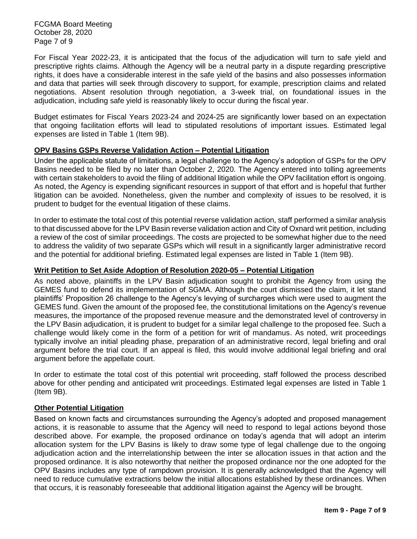FCGMA Board Meeting October 28, 2020 Page 7 of 9

For Fiscal Year 2022-23, it is anticipated that the focus of the adjudication will turn to safe yield and prescriptive rights claims. Although the Agency will be a neutral party in a dispute regarding prescriptive rights, it does have a considerable interest in the safe yield of the basins and also possesses information and data that parties will seek through discovery to support, for example, prescription claims and related negotiations. Absent resolution through negotiation, a 3-week trial, on foundational issues in the adjudication, including safe yield is reasonably likely to occur during the fiscal year.

Budget estimates for Fiscal Years 2023-24 and 2024-25 are significantly lower based on an expectation that ongoing facilitation efforts will lead to stipulated resolutions of important issues. Estimated legal expenses are listed in Table 1 (Item 9B).

# **OPV Basins GSPs Reverse Validation Action – Potential Litigation**

Under the applicable statute of limitations, a legal challenge to the Agency's adoption of GSPs for the OPV Basins needed to be filed by no later than October 2, 2020. The Agency entered into tolling agreements with certain stakeholders to avoid the filing of additional litigation while the OPV facilitation effort is ongoing. As noted, the Agency is expending significant resources in support of that effort and is hopeful that further litigation can be avoided. Nonetheless, given the number and complexity of issues to be resolved, it is prudent to budget for the eventual litigation of these claims.

In order to estimate the total cost of this potential reverse validation action, staff performed a similar analysis to that discussed above for the LPV Basin reverse validation action and City of Oxnard writ petition, including a review of the cost of similar proceedings. The costs are projected to be somewhat higher due to the need to address the validity of two separate GSPs which will result in a significantly larger administrative record and the potential for additional briefing. Estimated legal expenses are listed in Table 1 (Item 9B).

#### **Writ Petition to Set Aside Adoption of Resolution 2020-05 – Potential Litigation**

As noted above, plaintiffs in the LPV Basin adjudication sought to prohibit the Agency from using the GEMES fund to defend its implementation of SGMA. Although the court dismissed the claim, it let stand plaintiffs' Proposition 26 challenge to the Agency's levying of surcharges which were used to augment the GEMES fund. Given the amount of the proposed fee, the constitutional limitations on the Agency's revenue measures, the importance of the proposed revenue measure and the demonstrated level of controversy in the LPV Basin adjudication, it is prudent to budget for a similar legal challenge to the proposed fee. Such a challenge would likely come in the form of a petition for writ of mandamus. As noted, writ proceedings typically involve an initial pleading phase, preparation of an administrative record, legal briefing and oral argument before the trial court. If an appeal is filed, this would involve additional legal briefing and oral argument before the appellate court.

In order to estimate the total cost of this potential writ proceeding, staff followed the process described above for other pending and anticipated writ proceedings. Estimated legal expenses are listed in Table 1 (Item 9B).

#### **Other Potential Litigation**

Based on known facts and circumstances surrounding the Agency's adopted and proposed management actions, it is reasonable to assume that the Agency will need to respond to legal actions beyond those described above. For example, the proposed ordinance on today's agenda that will adopt an interim allocation system for the LPV Basins is likely to draw some type of legal challenge due to the ongoing adjudication action and the interrelationship between the inter se allocation issues in that action and the proposed ordinance. It is also noteworthy that neither the proposed ordinance nor the one adopted for the OPV Basins includes any type of rampdown provision. It is generally acknowledged that the Agency will need to reduce cumulative extractions below the initial allocations established by these ordinances. When that occurs, it is reasonably foreseeable that additional litigation against the Agency will be brought.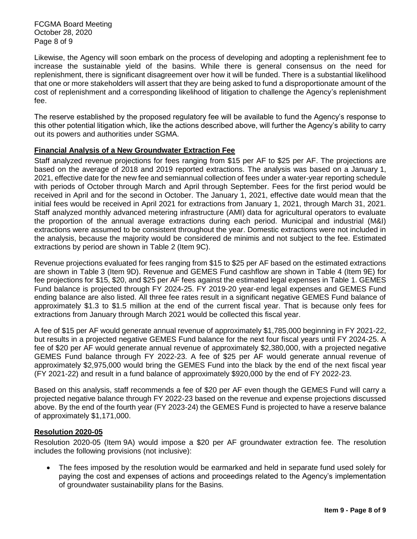FCGMA Board Meeting October 28, 2020 Page 8 of 9

Likewise, the Agency will soon embark on the process of developing and adopting a replenishment fee to increase the sustainable yield of the basins. While there is general consensus on the need for replenishment, there is significant disagreement over how it will be funded. There is a substantial likelihood that one or more stakeholders will assert that they are being asked to fund a disproportionate amount of the cost of replenishment and a corresponding likelihood of litigation to challenge the Agency's replenishment fee.

The reserve established by the proposed regulatory fee will be available to fund the Agency's response to this other potential litigation which, like the actions described above, will further the Agency's ability to carry out its powers and authorities under SGMA.

# **Financial Analysis of a New Groundwater Extraction Fee**

Staff analyzed revenue projections for fees ranging from \$15 per AF to \$25 per AF. The projections are based on the average of 2018 and 2019 reported extractions. The analysis was based on a January 1, 2021, effective date for the new fee and semiannual collection of fees under a water-year reporting schedule with periods of October through March and April through September. Fees for the first period would be received in April and for the second in October. The January 1, 2021, effective date would mean that the initial fees would be received in April 2021 for extractions from January 1, 2021, through March 31, 2021. Staff analyzed monthly advanced metering infrastructure (AMI) data for agricultural operators to evaluate the proportion of the annual average extractions during each period. Municipal and industrial (M&I) extractions were assumed to be consistent throughout the year. Domestic extractions were not included in the analysis, because the majority would be considered de minimis and not subject to the fee. Estimated extractions by period are shown in Table 2 (Item 9C).

Revenue projections evaluated for fees ranging from \$15 to \$25 per AF based on the estimated extractions are shown in Table 3 (Item 9D). Revenue and GEMES Fund cashflow are shown in Table 4 (Item 9E) for fee projections for \$15, \$20, and \$25 per AF fees against the estimated legal expenses in Table 1. GEMES Fund balance is projected through FY 2024-25. FY 2019-20 year-end legal expenses and GEMES Fund ending balance are also listed. All three fee rates result in a significant negative GEMES Fund balance of approximately \$1.3 to \$1.5 million at the end of the current fiscal year. That is because only fees for extractions from January through March 2021 would be collected this fiscal year.

A fee of \$15 per AF would generate annual revenue of approximately \$1,785,000 beginning in FY 2021-22, but results in a projected negative GEMES Fund balance for the next four fiscal years until FY 2024-25. A fee of \$20 per AF would generate annual revenue of approximately \$2,380,000, with a projected negative GEMES Fund balance through FY 2022-23. A fee of \$25 per AF would generate annual revenue of approximately \$2,975,000 would bring the GEMES Fund into the black by the end of the next fiscal year (FY 2021-22) and result in a fund balance of approximately \$920,000 by the end of FY 2022-23.

Based on this analysis, staff recommends a fee of \$20 per AF even though the GEMES Fund will carry a projected negative balance through FY 2022-23 based on the revenue and expense projections discussed above. By the end of the fourth year (FY 2023-24) the GEMES Fund is projected to have a reserve balance of approximately \$1,171,000.

#### **Resolution 2020-05**

Resolution 2020-05 (Item 9A) would impose a \$20 per AF groundwater extraction fee. The resolution includes the following provisions (not inclusive):

• The fees imposed by the resolution would be earmarked and held in separate fund used solely for paying the cost and expenses of actions and proceedings related to the Agency's implementation of groundwater sustainability plans for the Basins.